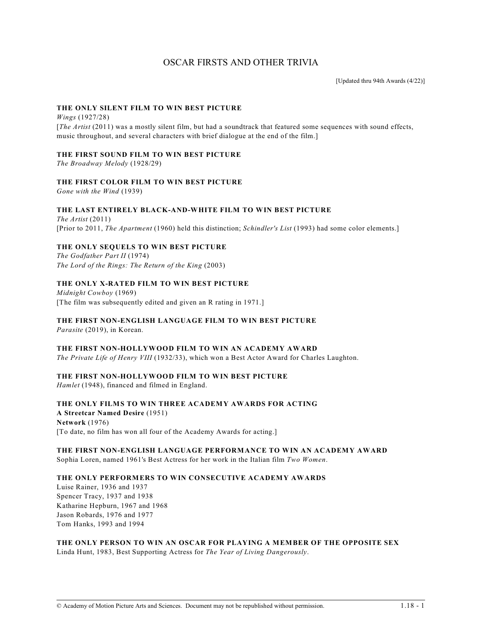# OSCAR FIRSTS AND OTHER TRIVIA

[Updated thru 94th Awards (4/22)]

## **THE ONLY SILENT FILM TO WIN BEST PICTURE**

*Wings* (1927/28) [*The Artist* (2011) was a mostly silent film, but had a soundtrack that featured some sequences with sound effects, music throughout, and several characters with brief dialogue at the end of the film.]

## **THE FIRST SOUND FILM TO WIN BEST PICTURE**

*The Broadway Melody* (1928/29)

# **THE FIRST COLOR FILM TO WIN BEST PICTURE**

*Gone with the Wind* (1939)

## **THE LAST ENTIRELY BLACK-AND-WHITE FILM TO WIN BEST PICTURE**

*The Artist* (2011) [Prior to 2011, *The Apartment* (1960) held this distinction; *Schindler's List* (1993) had some color elements.]

## **THE ONLY SEQUELS TO WIN BEST PICTURE**

*The Godfather Part II* (1974) *The Lord of the Rings: The Return of the King* (2003)

## **THE ONLY X-RATED FILM TO WIN BEST PICTURE**

*Midnight Cowboy* (1969) [The film was subsequently edited and given an R rating in 1971.]

# **THE FIRST NON-ENGLISH LANGUAGE FILM TO WIN BEST PICTURE**

*Parasite* (2019), in Korean.

# **THE FIRST NON-HOLLYWOOD FILM TO WIN AN ACADEMY AWARD**

*The Private Life of Henry VIII* (1932/33), which won a Best Actor Award for Charles Laughton.

## **THE FIRST NON-HOLLYWOOD FILM TO WIN BEST PICTURE**

*Hamlet* (1948), financed and filmed in England.

#### **THE ONLY FILMS TO WIN THREE ACADEMY AWARDS FOR ACTING A Streetcar Named Desire** (1951)

**Network** (1976) [To date, no film has won all four of the Academy Awards for acting.]

# **THE FIRST NON-ENGLISH LANGUAGE PERFORMANCE TO WIN AN ACADEMY AWARD**

Sophia Loren, named 1961's Best Actress for her work in the Italian film *Two Women*.

## **THE ONLY PERFORMERS TO WIN CONSECUTIVE ACADEMY AWARDS**

Luise Rainer, 1936 and 1937 Spencer Tracy, 1937 and 1938 Katharine Hepburn, 1967 and 1968 Jason Robards, 1976 and 1977 Tom Hanks, 1993 and 1994

# **THE ONLY PERSON TO WIN AN OSCAR FOR PLAYING A MEMBER OF THE OPPOSITE SEX**

Linda Hunt, 1983, Best Supporting Actress for *The Year of Living Dangerously*.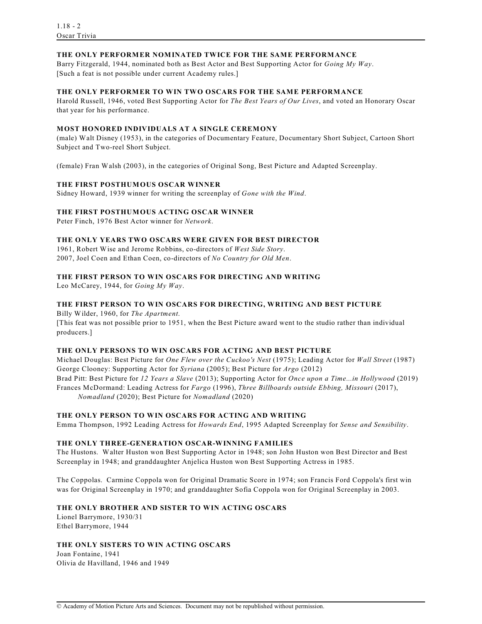## **THE ONLY PERFORMER NOMINATED TWICE FOR THE SAME PERFORMANCE**

Barry Fitzgerald, 1944, nominated both as Best Actor and Best Supporting Actor for *Going My Way*. [Such a feat is not possible under current Academy rules.]

# **THE ONLY PERFORMER TO WIN TWO OSCARS FOR THE SAME PERFORMANCE**

Harold Russell, 1946, voted Best Supporting Actor for *The Best Years of Our Lives*, and voted an Honorary Oscar that year for his performance.

# **MOST HONORED INDIVIDUALS AT A SINGLE CEREMONY**

(male) Walt Disney (1953), in the categories of Documentary Feature, Documentary Short Subject, Cartoon Short Subject and Two-reel Short Subject.

(female) Fran Walsh (2003), in the categories of Original Song, Best Picture and Adapted Screenplay.

## **THE FIRST POSTHUMOUS OSCAR WINNER**

Sidney Howard, 1939 winner for writing the screenplay of *Gone with the Wind*.

## **THE FIRST POSTHUMOUS ACTING OSCAR WINNER**

Peter Finch, 1976 Best Actor winner for *Network*.

## **THE ONLY YEARS TWO OSCARS WERE GIVEN FOR BEST DIRECTOR**

1961, Robert Wise and Jerome Robbins, co-directors of *West Side Story*. 2007, Joel Coen and Ethan Coen, co-directors of *No Country for Old Men*.

## **THE FIRST PERSON TO WIN OSCARS FOR DIRECTING AND WRITING**

Leo McCarey, 1944, for *Going My Way*.

## **THE FIRST PERSON TO WIN OSCARS FOR DIRECTING, WRITING AND BEST PICTURE**

Billy Wilder, 1960, for *The Apartment*. [This feat was not possible prior to 1951, when the Best Picture award went to the studio rather than individual producers.]

## **THE ONLY PERSONS TO WIN OSCARS FOR ACTING AND BEST PICTURE**

Michael Douglas: Best Picture for *One Flew over the Cuckoo's Nest* (1975); Leading Actor for *Wall Street* (1987) George Clooney: Supporting Actor for *Syriana* (2005); Best Picture for *Argo* (2012) Brad Pitt: Best Picture for *12 Years a Slave* (2013); Supporting Actor for *Once upon a Time...in Hollywood* (2019) Frances McDormand: Leading Actress for *Fargo* (1996), *Three Billboards outside Ebbing, Missouri* (2017), *Nomadland* (2020); Best Picture for *Nomadland* (2020)

## **THE ONLY PERSON TO WIN OSCARS FOR ACTING AND WRITING**

Emma Thompson, 1992 Leading Actress for *Howards End*, 1995 Adapted Screenplay for *Sense and Sensibility*.

## **THE ONLY THREE-GENERATION OSCAR-WINNING FAMILIES**

The Hustons. Walter Huston won Best Supporting Actor in 1948; son John Huston won Best Director and Best Screenplay in 1948; and granddaughter Anjelica Huston won Best Supporting Actress in 1985.

The Coppolas. Carmine Coppola won for Original Dramatic Score in 1974; son Francis Ford Coppola's first win was for Original Screenplay in 1970; and granddaughter Sofia Coppola won for Original Screenplay in 2003.

# **THE ONLY BROTHER AND SISTER TO WIN ACTING OSCARS**

Lionel Barrymore, 1930/31 Ethel Barrymore, 1944

## **THE ONLY SISTERS TO WIN ACTING OSCARS**

Joan Fontaine, 1941 Olivia de Havilland, 1946 and 1949